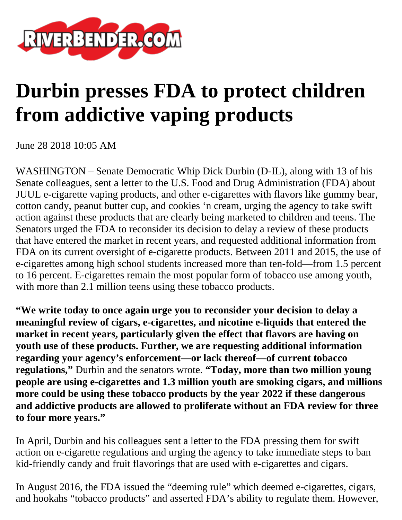

## **Durbin presses FDA to protect children from addictive vaping products**

June 28 2018 10:05 AM

WASHINGTON – Senate Democratic Whip Dick Durbin (D-IL), along with 13 of his Senate colleagues, sent a letter to the U.S. Food and Drug Administration (FDA) about JUUL e-cigarette vaping products, and other e-cigarettes with flavors like gummy bear, cotton candy, peanut butter cup, and cookies 'n cream, urging the agency to take swift action against these products that are clearly being marketed to children and teens. The Senators urged the FDA to reconsider its decision to delay a review of these products that have entered the market in recent years, and requested additional information from FDA on its current oversight of e-cigarette products. Between 2011 and 2015, the use of e-cigarettes among high school students increased more than ten-fold—from 1.5 percent to 16 percent. E-cigarettes remain the most popular form of tobacco use among youth, with more than 2.1 million teens using these tobacco products.

**"We write today to once again urge you to reconsider your decision to delay a meaningful review of cigars, e-cigarettes, and nicotine e-liquids that entered the market in recent years, particularly given the effect that flavors are having on youth use of these products. Further, we are requesting additional information regarding your agency's enforcement—or lack thereof—of current tobacco regulations,"** Durbin and the senators wrote. **"Today, more than two million young people are using e-cigarettes and 1.3 million youth are smoking cigars, and millions more could be using these tobacco products by the year 2022 if these dangerous and addictive products are allowed to proliferate without an FDA review for three to four more years."**

In April, Durbin and his colleagues sent a letter to the FDA pressing them for swift action on e-cigarette regulations and urging the agency to take immediate steps to ban kid-friendly candy and fruit flavorings that are used with e-cigarettes and cigars.

In August 2016, the FDA issued the "deeming rule" which deemed e-cigarettes, cigars, and hookahs "tobacco products" and asserted FDA's ability to regulate them. However,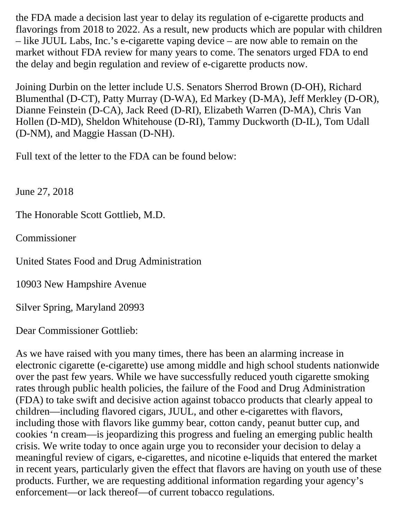the FDA made a decision last year to delay its regulation of e-cigarette products and flavorings from 2018 to 2022. As a result, new products which are popular with children – like JUUL Labs, Inc.'s e-cigarette vaping device – are now able to remain on the market without FDA review for many years to come. The senators urged FDA to end the delay and begin regulation and review of e-cigarette products now.

Joining Durbin on the letter include U.S. Senators Sherrod Brown (D-OH), Richard Blumenthal (D-CT), Patty Murray (D-WA), Ed Markey (D-MA), Jeff Merkley (D-OR), Dianne Feinstein (D-CA), Jack Reed (D-RI), Elizabeth Warren (D-MA), Chris Van Hollen (D-MD), Sheldon Whitehouse (D-RI), Tammy Duckworth (D-IL), Tom Udall (D-NM), and Maggie Hassan (D-NH).

Full text of the letter to the FDA can be found below:

June 27, 2018

The Honorable Scott Gottlieb, M.D.

Commissioner

United States Food and Drug Administration

10903 New Hampshire Avenue

Silver Spring, Maryland 20993

Dear Commissioner Gottlieb:

As we have raised with you many times, there has been an alarming increase in electronic cigarette (e-cigarette) use among middle and high school students nationwide over the past few years. While we have successfully reduced youth cigarette smoking rates through public health policies, the failure of the Food and Drug Administration (FDA) to take swift and decisive action against tobacco products that clearly appeal to children—including flavored cigars, JUUL, and other e-cigarettes with flavors, including those with flavors like gummy bear, cotton candy, peanut butter cup, and cookies 'n cream—is jeopardizing this progress and fueling an emerging public health crisis. We write today to once again urge you to reconsider your decision to delay a meaningful review of cigars, e-cigarettes, and nicotine e-liquids that entered the market in recent years, particularly given the effect that flavors are having on youth use of these products. Further, we are requesting additional information regarding your agency's enforcement—or lack thereof—of current tobacco regulations.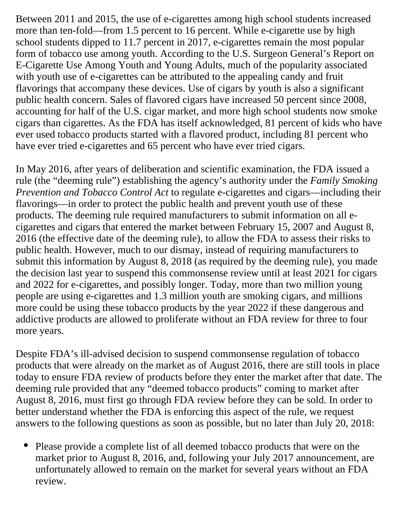Between 2011 and 2015, the use of e-cigarettes among high school students increased more than ten-fold—from 1.5 percent to 16 percent. While e-cigarette use by high school students dipped to 11.7 percent in 2017, e-cigarettes remain the most popular form of tobacco use among youth. According to the U.S. Surgeon General's Report on E-Cigarette Use Among Youth and Young Adults, much of the popularity associated with youth use of e-cigarettes can be attributed to the appealing candy and fruit flavorings that accompany these devices. Use of cigars by youth is also a significant public health concern. Sales of flavored cigars have increased 50 percent since 2008, accounting for half of the U.S. cigar market, and more high school students now smoke cigars than cigarettes. As the FDA has itself acknowledged, 81 percent of kids who have ever used tobacco products started with a flavored product, including 81 percent who have ever tried e-cigarettes and 65 percent who have ever tried cigars.

In May 2016, after years of deliberation and scientific examination, the FDA issued a rule (the "deeming rule") establishing the agency's authority under the *Family Smoking Prevention and Tobacco Control Act* to regulate e-cigarettes and cigars—including their flavorings—in order to protect the public health and prevent youth use of these products. The deeming rule required manufacturers to submit information on all ecigarettes and cigars that entered the market between February 15, 2007 and August 8, 2016 (the effective date of the deeming rule), to allow the FDA to assess their risks to public health. However, much to our dismay, instead of requiring manufacturers to submit this information by August 8, 2018 (as required by the deeming rule), you made the decision last year to suspend this commonsense review until at least 2021 for cigars and 2022 for e-cigarettes, and possibly longer. Today, more than two million young people are using e-cigarettes and 1.3 million youth are smoking cigars, and millions more could be using these tobacco products by the year 2022 if these dangerous and addictive products are allowed to proliferate without an FDA review for three to four more years.

Despite FDA's ill-advised decision to suspend commonsense regulation of tobacco products that were already on the market as of August 2016, there are still tools in place today to ensure FDA review of products before they enter the market after that date. The deeming rule provided that any "deemed tobacco products" coming to market after August 8, 2016, must first go through FDA review before they can be sold. In order to better understand whether the FDA is enforcing this aspect of the rule, we request answers to the following questions as soon as possible, but no later than July 20, 2018:

• Please provide a complete list of all deemed tobacco products that were on the market prior to August 8, 2016, and, following your July 2017 announcement, are unfortunately allowed to remain on the market for several years without an FDA review.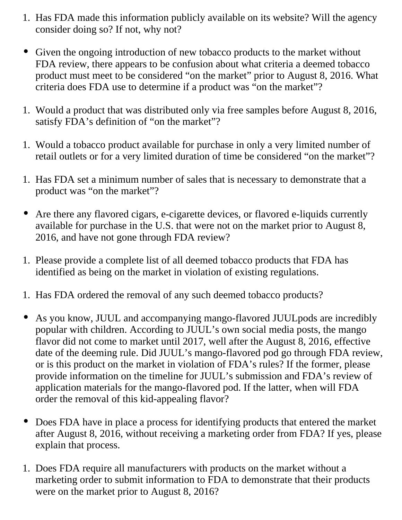- 1. Has FDA made this information publicly available on its website? Will the agency consider doing so? If not, why not?
- Given the ongoing introduction of new tobacco products to the market without FDA review, there appears to be confusion about what criteria a deemed tobacco product must meet to be considered "on the market" prior to August 8, 2016. What criteria does FDA use to determine if a product was "on the market"?
- 1. Would a product that was distributed only via free samples before August 8, 2016, satisfy FDA's definition of "on the market"?
- 1. Would a tobacco product available for purchase in only a very limited number of retail outlets or for a very limited duration of time be considered "on the market"?
- 1. Has FDA set a minimum number of sales that is necessary to demonstrate that a product was "on the market"?
- Are there any flavored cigars, e-cigarette devices, or flavored e-liquids currently available for purchase in the U.S. that were not on the market prior to August 8, 2016, and have not gone through FDA review?
- 1. Please provide a complete list of all deemed tobacco products that FDA has identified as being on the market in violation of existing regulations.
- 1. Has FDA ordered the removal of any such deemed tobacco products?
- As you know, JUUL and accompanying mango-flavored JUULpods are incredibly popular with children. According to JUUL's own social media posts, the mango flavor did not come to market until 2017, well after the August 8, 2016, effective date of the deeming rule. Did JUUL's mango-flavored pod go through FDA review, or is this product on the market in violation of FDA's rules? If the former, please provide information on the timeline for JUUL's submission and FDA's review of application materials for the mango-flavored pod. If the latter, when will FDA order the removal of this kid-appealing flavor?
- Does FDA have in place a process for identifying products that entered the market after August 8, 2016, without receiving a marketing order from FDA? If yes, please explain that process.
- 1. Does FDA require all manufacturers with products on the market without a marketing order to submit information to FDA to demonstrate that their products were on the market prior to August 8, 2016?